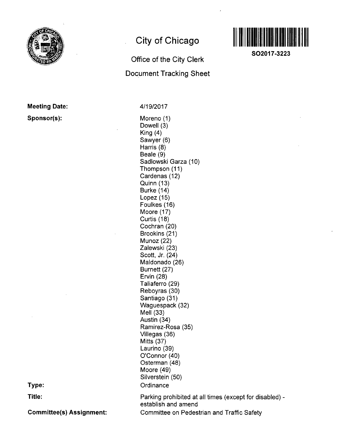

**Meeting Date:** 

**Sponsor(s):** 

## **City of Chicago**

# **Office of the City Clerk Document Tracking Sheet**



**SO2017-3223** 

4/19/2017

Moreno (1) Dowell (3) King (4) Sawyer (6) Harris (8) Beale (9) Sadlowski Garza (10) Thompson (11) Cardenas (12) Quinn (13) Burke (14) Lopez (15) Foulkes (16) Moore (17) Curtis (18) Cochran (20) Brookins (21) Munoz (22) Zalewski (23) Scott, Jr. (24) Maldonado (26) Burnett (27) Ervin (28) Taliaferro (29) Reboyras (30) Santiago (31) Waguespack (32) Mell (33) Austin (34) Ramirez-Rosa (35) Villegas (36) Mitts (37) Laurino (39) O'Connor (40) Osterman (48) Moore (49) Silverstein (50) **Ordinance** Parking prohibited at all times (except for disabled) establish and amend

**Type:** 

**Title:** 

**Committee(s) Assignment:** 

Committee on Pedestrian and Traffic Safety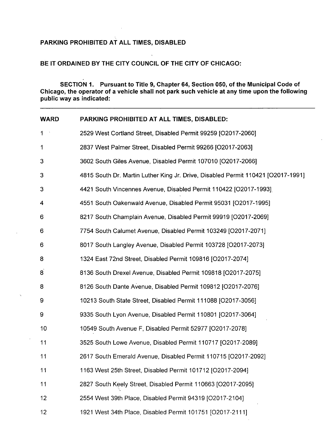### **PARKING PROHIBITED AT ALL TIMES, DISABLED**

### **BE IT ORDAINED BY THE CITY COUNCIL OF THE CITY OF CHICAGO:**

**SECTION 1. Pursuant to Title 9, Chapter 64, Section 050, of the Municipal Code of Chicago, the operator of a vehicle shall not park such vehicle at any time upon the following public way as indicated:** 

| <b>WARD</b>    | PARKING PROHIBITED AT ALL TIMES, DISABLED:                                       |  |  |
|----------------|----------------------------------------------------------------------------------|--|--|
| 1              | 2529 West Cortland Street, Disabled Permit 99259 [O2017-2060]                    |  |  |
| 1              | 2837 West Palmer Street, Disabled Permit 99266 [O2017-2063]                      |  |  |
| 3              | 3602 South Giles Avenue, Disabled Permit 107010 [O2017-2066]                     |  |  |
| 3              | 4815 South Dr. Martin Luther King Jr. Drive, Disabled Permit 110421 [O2017-1991] |  |  |
| 3              | 4421 South Vincennes Avenue, Disabled Permit 110422 [O2017-1993]                 |  |  |
| 4              | 4551 South Oakenwald Avenue, Disabled Permit 95031 [O2017-1995]                  |  |  |
| 6              | 8217 South Champlain Avenue, Disabled Permit 99919 [O2017-2069]                  |  |  |
| 6              | 7754 South Calumet Avenue, Disabled Permit 103249 [O2017-2071]                   |  |  |
| 6              | 8017 South Langley Avenue, Disabled Permit 103728 [O2017-2073]                   |  |  |
| 8              | 1324 East 72nd Street, Disabled Permit 109816 [O2017-2074]                       |  |  |
| $\overline{8}$ | 8136 South Drexel Avenue, Disabled Permit 109818 [O2017-2075]                    |  |  |
| 8              | 8126 South Dante Avenue, Disabled Permit 109812 [O2017-2076]                     |  |  |
| 9              | 10213 South State Street, Disabled Permit 111088 [O2017-3056]                    |  |  |
| 9              | 9335 South Lyon Avenue, Disabled Permit 110801 [O2017-3064]                      |  |  |
| 10             | 10549 South Avenue F, Disabled Permit 52977 [O2017-2078]                         |  |  |
| 11             | 3525 South Lowe Avenue, Disabled Permit 110717 [O2017-2089]                      |  |  |
| 11             | 2617 South Emerald Avenue, Disabled Permit 110715 [O2017-2092]                   |  |  |
| 11             | 1163 West 25th Street, Disabled Permit 101712 [O2017-2094]                       |  |  |
| 11             | 2827 South Keely Street, Disabled Permit 110663 [O2017-2095]                     |  |  |
| 12             | 2554 West 39th Place, Disabled Permit 94319 [O2017-2104]                         |  |  |
| 12             | 1921 West 34th Place, Disabled Permit 101751 [O2017-2111]                        |  |  |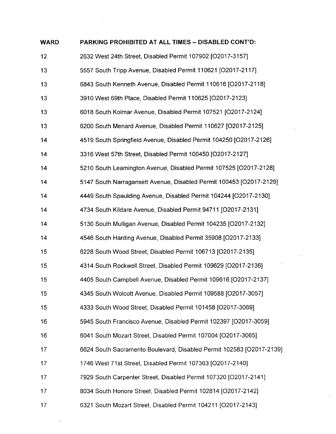| <b>WARD</b> | PARKING PROHIBITED AT ALL TIMES - DISABLED CONT'D:                   |
|-------------|----------------------------------------------------------------------|
| 12          | 2632 West 24th Street, Disabled Permit 107902 [O2017-3157]           |
| 13          | 5557 South Tripp Avenue, Disabled Permit 110621 [O2017-2117]         |
| 13          | 6843 South Kenneth Avenue, Disabled Permit 110616 [O2017-2118]       |
| 13          | 3910 West 69th Place, Disabled Permit 110625 [O2017-2123]            |
| 13          | 6018 South Kolmar Avenue, Disabled Permit 107521 [O2017-2124]        |
| 13          | 6200 South Menard Avenue, Disabled Permit 110627 [O2017-2125]        |
| 14          | 4519 South Springfield Avenue, Disabled Permit 104250 [O2017-2126]   |
| 14          | 3316 West 57th Street, Disabled Permit 100450 [O2017-2127]           |
| 14          | 5210 South Leamington Avenue, Disabled Permit 107525 [O2017-2128]    |
| 14          | 5147 South Narragansett Avenue, Disabled Permit 100453 [O2017-2129]  |
| 14          | 4449 South Spaulding Avenue, Disabled Permit 104244 [O2017-2130]     |
| 14          | 4734 South Kildare Avenue, Disabled Permit 94711 [O2017-2131]        |
| 14          | 5130 South Mulligan Avenue, Disabled Permit 104235 [O2017-2132]      |
| 14          | 4546 South Harding Avenue, Disabled Permit 35908 [O2017-2133]        |
| 15          | 6228 South Wood Street, Disabled Permit 106713 [O2017-2135]          |
| 15          | 4314 South Rockwell Street, Disabled Permit 109629 [O2017-2136]      |
| 15          | 4405 South Campbell Avenue, Disabled Permit 109616 [O2017-2137]      |
| 15          | 4345 South Wolcott Avenue, Disabled Permit 109588 [O2017-3057]       |
| 15          | 4333 South Wood Street, Disabled Permit 101458 [O2017-3069]          |
| 16          | 5945 South Francisco Avenue, Disabled Permit 102397 [O2017-3059]     |
| 16          | 6041 South Mozart Street, Disabled Permit 107004 [O2017-3065]        |
| 17          | 6624 South Sacramento Boulevard, Disabled Permit 102583 [O2017-2139] |
| 17          | 1746 West 71st Street, Disabled Permit 107363 [O2017-2140]           |
| 17          | 7929 South Carpenter Street, Disabled Permit 107320 [O2017-2141]     |
| 17          | 8034 South Honore Street, Disabled Permit 102814 [O2017-2142]        |
| 17          | 6321 South Mozart Street, Disabled Permit 104211 [O2017-2143]        |

 $\sim 40\,$  km  $^{-1}$ 

 $\mathcal{A}^{\mathcal{A}}$  .

 $\mathcal{A}^{\text{out}}$ 

 $\mathcal{A}^{(1)}$ 

 $\mathcal{F}^{\pm}$ 

 $\mathcal{L}^{\text{max}}_{\text{max}}$  and  $\mathcal{L}^{\text{max}}_{\text{max}}$ 

 $\mathcal{I}$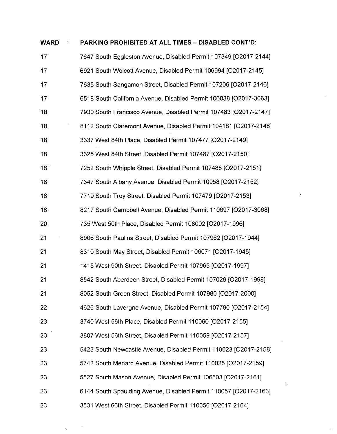| <b>WARD</b> | PARKING PROHIBITED AT ALL TIMES - DISABLED CONT'D:                |
|-------------|-------------------------------------------------------------------|
| 17          | 7647 South Eggleston Avenue, Disabled Permit 107349 [O2017-2144]  |
| 17          | 6921 South Wolcott Avenue, Disabled Permit 106994 [O2017-2145]    |
| 17          | 7635 South Sangamon Street, Disabled Permit 107206 [O2017-2146]   |
| 17          | 6518 South California Avenue, Disabled Permit 106038 [O2017-3063] |
| 18          | 7930 South Francisco Avenue, Disabled Permit 107483 [O2017-2147]  |
| 18          | 8112 South Claremont Avenue, Disabled Permit 104181 [O2017-2148]  |
| 18          | 3337 West 84th Place, Disabled Permit 107477 [O2017-2149]         |
| 18          | 3325 West 84th Street, Disabled Permit 107487 [O2017-2150]        |
| 18          | 7252 South Whipple Street, Disabled Permit 107488 [O2017-2151]    |
| 18          | 7347 South Albany Avenue, Disabled Permit 10958 [O2017-2152]      |
| 18          | 7719 South Troy Street, Disabled Permit 107479 [O2017-2153]       |
| 18          | 8217 South Campbell Avenue, Disabled Permit 110697 [O2017-3068]   |
| 20          | 735 West 50th Place, Disabled Permit 108002 [O2017-1996]          |
| 21          | 8906 South Paulina Street, Disabled Permit 107962 [O2017-1944]    |
| 21          | 8310 South May Street, Disabled Permit 106071 [O2017-1945]        |
| 21          | 1415 West 90th Street, Disabled Permit 107965 [O2017-1997]        |
| 21          | 8542 South Aberdeen Street, Disabled Permit 107029 [O2017-1998]   |
| 21          | 8052 South Green Street, Disabled Permit 107980 [O2017-2000]      |
| 22          | 4626 South Lavergne Avenue, Disabled Permit 107790 [O2017-2154]   |
| 23          | 3740 West 56th Place, Disabled Permit 110060 [O2017-2155]         |
| 23          | 3807 West 56th Street, Disabled Permit 110059 [O2017-2157]        |
| 23          | 5423 South Newcastle Avenue, Disabled Permit 110023 [O2017-2158]  |
| 23          | 5742 South Menard Avenue, Disabled Permit 110025 [O2017-2159]     |
| 23          | 5527 South Mason Avenue, Disabled Permit 106503 [O2017-2161]      |
| 23          | 6144 South Spaulding Avenue, Disabled Permit 110057 [O2017-2163]  |
| 23          | 3531 West 66th Street, Disabled Permit 110056 [O2017-2164]        |

 $\sqrt{1-\frac{1}{2}}$  ,  $\frac{1}{2}$ 

 $\mathcal{L}_{\text{max}}$ 

 $\hat{\mathbf{x}}_i$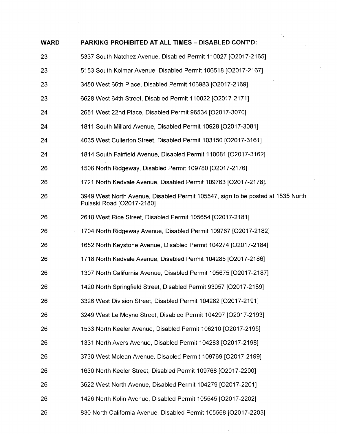| <b>WARD</b> | PARKING PROHIBITED AT ALL TIMES - DISABLED CONT'D:                                                           |
|-------------|--------------------------------------------------------------------------------------------------------------|
| 23          | 5337 South Natchez Avenue, Disabled Permit 110027 [O2017-2165]                                               |
| 23          | 5153 South Kolmar Avenue, Disabled Permit 106518 [O2017-2167]                                                |
| 23          | 3450 West 66th Place, Disabled Permit 106983 [O2017-2169]                                                    |
| 23          | 6628 West 64th Street, Disabled Permit 110022 [O2017-2171]                                                   |
| 24          | 2651 West 22nd Place, Disabled Permit 96534 [O2017-3070]                                                     |
| 24          | 1811 South Millard Avenue, Disabled Permit 10928 [O2017-3081]                                                |
| 24          | 4035 West Cullerton Street, Disabled Permit 103150 [O2017-3161]                                              |
| 24          | 1814 South Fairfield Avenue, Disabled Permit 110081 [O2017-3162]                                             |
| 26          | 1506 North Ridgeway, Disabled Permit 109780 [O2017-2176]                                                     |
| 26          | 1721 North Kedvale Avenue, Disabled Permit 109763 [O2017-2178].                                              |
| 26          | 3949 West North Avenue, Disabled Permit 105547, sign to be posted at 1535 North<br>Pulaski Road [O2017-2180] |
| 26          | 2618 West Rice Street, Disabled Permit 105654 [O2017-2181]                                                   |
| 26          | 1704 North Ridgeway Avenue, Disabled Permit 109767 [O2017-2182]                                              |
| 26          | 1652 North Keystone Avenue, Disabled Permit 104274 [O2017-2184]                                              |
| 26          | 1718 North Kedvale Avenue, Disabled Permit 104285 [O2017-2186]                                               |
| 26          | 1307 North California Avenue, Disabled Permit 105675 [O2017-2187]                                            |
| 26          | 1420 North Springfield Street, Disabled Permit 93057 [O2017-2189]                                            |
| 26          | 3326 West Division Street, Disabled Permit 104282 [O2017-2191]                                               |
| 26          | 3249 West Le Moyne Street, Disabled Permit 104297 [O2017-2193]                                               |
| 26          | 1533 North Keeler Avenue, Disabled Permit 106210 [O2017-2195]                                                |
| 26          | 1331 North Avers Avenue, Disabled Permit 104283 [O2017-2198]                                                 |
| 26          | 3730 West Mclean Avenue, Disabled Permit 109769 [O2017-2199]                                                 |
| 26          | 1630 North Keeler Street, Disabled Permit 109768 [O2017-2200]                                                |
| 26          | 3622 West North Avenue, Disabled Permit 104279 [O2017-2201]                                                  |
| 26          | 1426 North Kolin Avenue, Disabled Permit 105545 [O2017-2202]                                                 |
| 26          | 830 North California Avenue, Disabled Permit 105568 [O2017-2203]                                             |

 $\mathbf{X}^{(n)}$ 

 $\mathcal{L}(\mathcal{A})$  and  $\mathcal{L}(\mathcal{A})$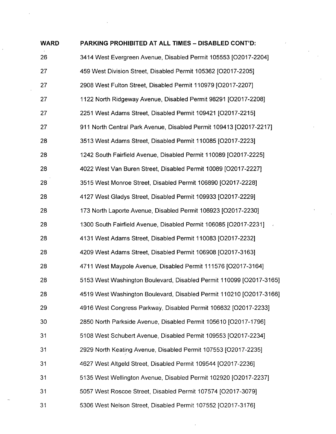| <b>WARD</b> | PARKING PROHIBITED AT ALL TIMES - DISABLED CONT'D:                  |
|-------------|---------------------------------------------------------------------|
| 26          | 3414 West Evergreen Avenue, Disabled Permit 105553 [O2017-2204]     |
| 27          | 459 West Division Street, Disabled Permit 105362 [O2017-2205]       |
| 27          | 2908 West Fulton Street, Disabled Permit 110979 [O2017-2207]        |
| 27          | 1122 North Ridgeway Avenue, Disabled Permit 98291 [O2017-2208]      |
| 27          | 2251 West Adams Street, Disabled Permit 109421 [O2017-2215]         |
| 27          | 911 North Central Park Avenue, Disabled Permit 109413 [O2017-2217]  |
| 28          | 3513 West Adams Street, Disabled Permit 110085 [O2017-2223]         |
| 28          | 1242 South Fairfield Avenue, Disabled Permit 110089 [O2017-2225]    |
| 28          | 4022 West Van Buren Street, Disabled Permit 10089 [O2017-2227]      |
| 28          | 3515 West Monroe Street, Disabled Permit 106890 [O2017-2228]        |
| 28          | 4127 West Gladys Street, Disabled Permit 109933 [O2017-2229]        |
| 28          | 173 North Laporte Avenue, Disabled Permit 106923 [O2017-2230]       |
| 28          | 1300 South Fairfield Avenue, Disabled Permit 106085 [O2017-2231]    |
| 28          | 4131 West Adams Street, Disabled Permit 110083 [O2017-2232]         |
| 28          | 4209 West Adams Street, Disabled Permit 106908 [O2017-3163]         |
| 28          | 4711 West Maypole Avenue, Disabled Permit 111576 [O2017-3164]       |
| 28          | 5153 West Washington Boulevard, Disabled Permit 110099 [O2017-3165] |
| 28          | 4519 West Washington Boulevard, Disabled Permit 110210 [O2017-3166] |
| 29          | 4916 West Congress Parkway, Disabled Permit 106632 [O2017-2233]     |
| 30          | 2850 North Parkside Avenue, Disabled Permit 105610 [O2017-1796]     |
| 31          | 5108 West Schubert Avenue, Disabled Permit 109553 [O2017-2234]      |
| 31          | 2929 North Keating Avenue, Disabled Permit 107553 [O2017-2235]      |
| 31          | 4627 West Altgeld Street, Disabled Permit 109544 [O2017-2236]       |
| 31          | 5135 West Wellington Avenue, Disabled Permit 102920 [O2017-2237]    |
| 31          | 5057 West Roscoe Street, Disabled Permit 107574 [O2017-3079]        |
| 31          | 5306 West Nelson Street, Disabled Permit 107552 [O2017-3176]        |

 $\hat{\boldsymbol{\cdot}$ 

 $\frac{1}{2}$ 

 $\label{eq:2.1} \frac{1}{\sqrt{2}}\sum_{i=1}^n\frac{1}{\sqrt{2}}\sum_{i=1}^n\frac{1}{\sqrt{2}}\sum_{i=1}^n\frac{1}{\sqrt{2}}\sum_{i=1}^n\frac{1}{\sqrt{2}}\sum_{i=1}^n\frac{1}{\sqrt{2}}\sum_{i=1}^n\frac{1}{\sqrt{2}}\sum_{i=1}^n\frac{1}{\sqrt{2}}\sum_{i=1}^n\frac{1}{\sqrt{2}}\sum_{i=1}^n\frac{1}{\sqrt{2}}\sum_{i=1}^n\frac{1}{\sqrt{2}}\sum_{i=1}^n\frac$ 

 $\frac{1}{2}$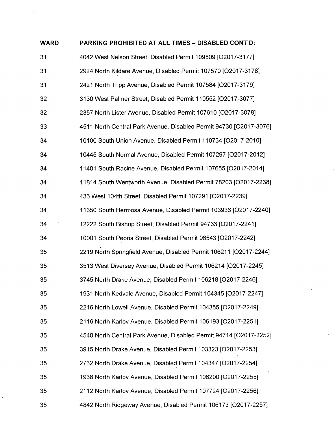| <b>WARD</b> | PARKING PROHIBITED AT ALL TIMES - DISABLED CONT'D:                 |  |  |
|-------------|--------------------------------------------------------------------|--|--|
| 31          | 4042 West Nelson Street, Disabled Permit 109509 [O2017-3177]       |  |  |
| 31          | 2924 North Kildare Avenue, Disabled Permit 107570 [O2017-3178]     |  |  |
| 31          | 2421 North Tripp Avenue, Disabled Permit 107584 [O2017-3179]       |  |  |
| 32          | 3130 West Palmer Street, Disabled Permit 110552 [O2017-3077]       |  |  |
| 32          | 2357 North Lister Avenue, Disabled Permit 107610 [O2017-3078]      |  |  |
| 33          | 4511 North Central Park Avenue, Disabled Permit 94730 [O2017-3076] |  |  |
| 34          | 10100 South Union Avenue, Disabled Permit 110734 [O2017-2010]      |  |  |
| 34          | 10445 South Normal Avenue, Disabled Permit 107297 [O2017-2012]     |  |  |
| 34          | 11401 South Racine Avenue, Disabled Permit 107655 [O2017-2014]     |  |  |
| 34          | 11814 South Wentworth Avenue, Disabled Permit 78203 [O2017-2238]   |  |  |
| 34          | 436 West 104th Street, Disabled Permit 107291 [O2017-2239]         |  |  |
| 34          | 11350 South Hermosa Avenue, Disabled Permit 103936 [O2017-2240]    |  |  |
| 34          | 12222 South Bishop Street, Disabled Permit 94733 [O2017-2241]      |  |  |
| 34          | 10001 South Peoria Street, Disabled Permit 96543 [O2017-2242]      |  |  |
| 35          | 2219 North Springfield Avenue, Disabled Permit 106211 [O2017-2244] |  |  |
| 35          | 3513 West Diversey Avenue, Disabled Permit 106214 [O2017-2245]     |  |  |
| 35          | 3745 North Drake Avenue, Disabled Permit 106218 [O2017-2246]       |  |  |
| 35          | 1931 North Kedvale Avenue, Disabled Permit 104345 [O2017-2247]     |  |  |
| 35          | 2216 North Lowell Avenue, Disabled Permit 104355 [O2017-2249]      |  |  |
| 35          | 2116 North Karlov Avenue, Disabled Permit 106193 [O2017-2251]      |  |  |
| 35          | 4540 North Central Park Avenue, Disabled Permit 94714 [O2017-2252] |  |  |
| 35          | 3915 North Drake Avenue, Disabled Permit 103323 [O2017-2253]       |  |  |
| 35          | 2732 North Drake Avenue, Disabled Permit 104347 [O2017-2254]       |  |  |
| 35          | 1938 North Karlov Avenue, Disabled Permit 106200 [O2017-2255]      |  |  |
| 35          | 2112 North Karlov Avenue, Disabled Permit 107724 [O2017-2256]      |  |  |
| 35          | 4842 North Ridgeway Avenue, Disabled Permit 106173 [O2017-2257]    |  |  |

 $\ddot{\phantom{0}}$ 

 $\mathcal{L}^{\text{max}}_{\text{max}}$ 

 $\mathcal{L}^{\mathcal{L}}$ 

 $\sim$   $\sim$ 

 $\mathcal{L}_{\text{max}}$ 

 $\mathcal{A}^{\text{max}}_{\text{max}}$ 

 $\frac{1}{\sqrt{2}}$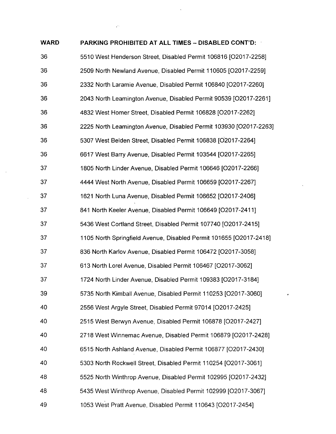| <b>WARD</b> | PARKING PROHIBITED AT ALL TIMES - DISABLED CONT'D:                 |
|-------------|--------------------------------------------------------------------|
| 36          | 5510 West Henderson Street, Disabled Permit 106816 [O2017-2258]    |
| 36          | 2509 North Newland Avenue, Disabled Permit 110605 [O2017-2259]     |
| 36          | 2332 North Laramie Avenue, Disabled Permit 106840 [O2017-2260]     |
| 36          | 2043 North Leamington Avenue, Disabled Permit 90539 [O2017-2261]   |
| 36          | 4832 West Homer Street, Disabled Permit 106828 [O2017-2262]        |
| 36          | 2225 North Leamington Avenue, Disabled Permit 103930 [O2017-2263]  |
| 36          | 5307 West Belden Street, Disabled Permit 106838 [O2017-2264]       |
| 36          | 6617 West Barry Avenue, Disabled Permit 103544 [O2017-2265]        |
| 37          | 1805 North Linder Avenue, Disabled Permit 106646 [O2017-2266]      |
| 37          | 4444 West North Avenue, Disabled Permit 106659 [O2017-2267]        |
| 37          | 1621 North Luna Avenue, Disabled Permit 106652 [O2017-2406]        |
| 37          | 841 North Keeler Avenue, Disabled Permit 106649 [O2017-2411]       |
| 37          | 5436 West Cortland Street, Disabled Permit 107740 [O2017-2415]     |
| 37          | 1105 North Springfield Avenue, Disabled Permit 101655 [O2017-2418] |
| 37          | 836 North Karlov Avenue, Disabled Permit 106472 [O2017-3058]       |
| 37          | 613 North Lorel Avenue, Disabled Permit 106467 [O2017-3062]        |
| 37          | 1724 North Linder Avenue, Disabled Permit 109383 [O2017-3184]      |
| 39          | 5735 North Kimball Avenue, Disabled Permit 110253 [O2017-3060]     |
| 40          | 2556 West Argyle Street, Disabled Permit 97014 [O2017-2425]        |
| 40          | 2515 West Berwyn Avenue, Disabled Permit 106878 [O2017-2427]       |
| 40          | 2718 West Winnemac Avenue, Disabled Permit 106879 [O2017-2428]     |
| 40          | 6515 North Ashland Avenue, Disabled Permit 106877 [O2017-2430]     |
| 40          | 5303 North Rockwell Street, Disabled Permit 110254 [O2017-3061]    |
| 48          | 5525 North Winthrop Avenue, Disabled Permit 102995 [O2017-2432]    |
| 48          | 5435 West Winthrop Avenue, Disabled Permit 102999 [O2017-3067]     |
| 49          | 1053 West Pratt Avenue, Disabled Permit 110643 [O2017-2454]        |
|             |                                                                    |

 $\mathcal{O}(\mathcal{O}_\mathcal{O})$ 

 $\label{eq:2.1} \rho_{\rm{max}} = \rho_{\rm{max}} = \rho_{\rm{max}}$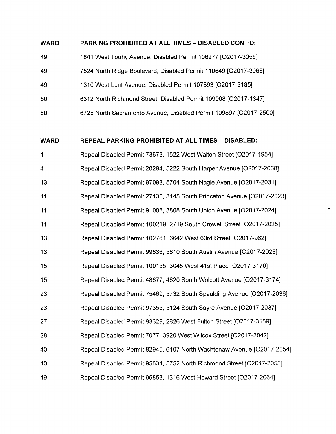#### **WARD PARKING PROHIBITED AT ALL TIMES - DISABLED CONT'D:**

49 1841 West Touhy Avenue, Disabled Permit 106277 [O2017-3055] 49 7524 North Ridge Boulevard, Disabled Permit 110649 [02017-3066] 49 1310 West Lunt Avenue, Disabled Permit 107893 [02017-3185] 50 6312 North Richmond Street, Disabled Permit 109908 [02017-1347] 50 6725 North Sacramento Avenue, Disabled Permit 109897 [02017-2500]

**WARD REPEAL PARKING PROHIBITED AT ALL TIMES - DISABLED:** 

1 4 13 11 11 11 13 13 15 15 23 23 27 28 40 40 **49**  Repeal Disabled Permit 73673, 1522 West Walton Street [O2017-1954] Repeal Disabled Permit 20294, 5222 South Harper Avenue [O2017-2068] Repeal Disabled Permit 97093, 5704 South Nagle Avenue [O2017-2031] Repeal Disabled Permit 27130, 3145 South Princeton Avenue [O2017-2023] Repeal Disabled Permit 91008, 3808 South Union Avenue [O2017-2024] Repeal Disabled Permit 100219, 2719 South Crowell Street [O2017-2025] Repeal Disabled Permit 102761, 6642 West 63rd Street [O2017-962] Repeal Disabled Permit 99636, 5610 South Austin Avenue [O2017-2028] Repeal Disabled Permit 100135, 3045 West 41st Place [O2017-3170] Repeal Disabled Permit 48677, 4620 South Wolcott Avenue [O2017-3174] Repeal Disabled Permit 75469, 5732 South Spaulding Avenue [O2017-2036] Repeal Disabled Permit 97353, 5124 South Sayre Avenue [O2017-2037] Repeal Disabled Permit 93329, 2826 West Fulton Street [O2017-3159] Repeal Disabled Permit 7077, 3920 West Wilcox Street [O2017-2042] Repeal Disabled Permit 82945, 6107 North Washtenaw Avenue [O2017-2054] Repeal Disabled Permit 95634, 5752 North Richmond Street [O2017-2055] Repeal Disabled Permit 95853, 1316 West Howard Street [O2017-2064]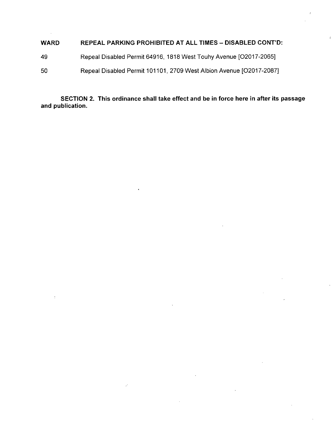#### **WARD REPEAL PARKING PROHIBITED AT ALL TIMES - DISABLED CONT'D:**

- 49 Repeal Disabled Permit 64916, 1818 West Touhy Avenue [O2017-2065]
- 50 Repeal Disabled Permit 101101, 2709 West Albion Avenue [O2017-2087]

**SECTION 2. This ordinance shall take effect and be in force here in after its passage and publication.**